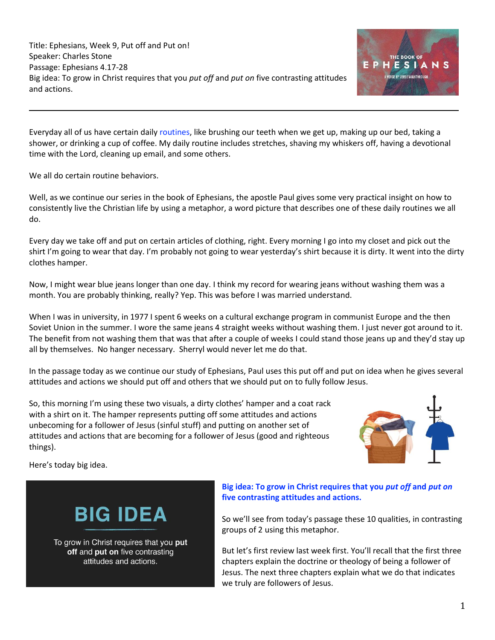Title: Ephesians, Week 9, Put off and Put on! Speaker: Charles Stone Passage: Ephesians 4.17-28 Big idea: To grow in Christ requires that you *put off* and *put on* five contrasting attitudes and actions.



Everyday all of us have certain daily routines, like brushing our teeth when we get up, making up our bed, taking a shower, or drinking a cup of coffee. My daily routine includes stretches, shaving my whiskers off, having a devotional time with the Lord, cleaning up email, and some others.

We all do certain routine behaviors.

Well, as we continue our series in the book of Ephesians, the apostle Paul gives some very practical insight on how to consistently live the Christian life by using a metaphor, a word picture that describes one of these daily routines we all do.

Every day we take off and put on certain articles of clothing, right. Every morning I go into my closet and pick out the shirt I'm going to wear that day. I'm probably not going to wear yesterday's shirt because it is dirty. It went into the dirty clothes hamper.

Now, I might wear blue jeans longer than one day. I think my record for wearing jeans without washing them was a month. You are probably thinking, really? Yep. This was before I was married understand.

When I was in university, in 1977 I spent 6 weeks on a cultural exchange program in communist Europe and the then Soviet Union in the summer. I wore the same jeans 4 straight weeks without washing them. I just never got around to it. The benefit from not washing them that was that after a couple of weeks I could stand those jeans up and they'd stay up all by themselves. No hanger necessary. Sherryl would never let me do that.

In the passage today as we continue our study of Ephesians, Paul uses this put off and put on idea when he gives several attitudes and actions we should put off and others that we should put on to fully follow Jesus.

So, this morning I'm using these two visuals, a dirty clothes' hamper and a coat rack with a shirt on it. The hamper represents putting off some attitudes and actions unbecoming for a follower of Jesus (sinful stuff) and putting on another set of attitudes and actions that are becoming for a follower of Jesus (good and righteous things).



Here's today big idea.

# **BIG IDEA**

To grow in Christ requires that you put off and put on five contrasting attitudes and actions.

## **Big idea: To grow in Christ requires that you** *put off* **and** *put on* **five contrasting attitudes and actions.**

So we'll see from today's passage these 10 qualities, in contrasting groups of 2 using this metaphor.

But let's first review last week first. You'll recall that the first three chapters explain the doctrine or theology of being a follower of Jesus. The next three chapters explain what we do that indicates we truly are followers of Jesus.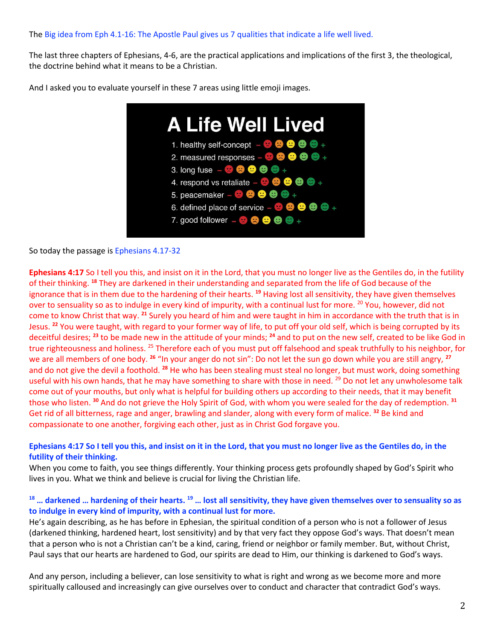### The Big idea from Eph 4.1-16: The Apostle Paul gives us 7 qualities that indicate a life well lived.

The last three chapters of Ephesians, 4-6, are the practical applications and implications of the first 3, the theological, the doctrine behind what it means to be a Christian.

And I asked you to evaluate yourself in these 7 areas using little emoji images.



So today the passage is Ephesians 4.17-32

**Ephesians 4:17** So I tell you this, and insist on it in the Lord, that you must no longer live as the Gentiles do, in the futility of their thinking. **<sup>18</sup>** They are darkened in their understanding and separated from the life of God because of the ignorance that is in them due to the hardening of their hearts. **<sup>19</sup>** Having lost all sensitivity, they have given themselves over to sensuality so as to indulge in every kind of impurity, with a continual lust for more. <sup>20</sup> You, however, did not come to know Christ that way. **<sup>21</sup>** Surely you heard of him and were taught in him in accordance with the truth that is in Jesus. **<sup>22</sup>** You were taught, with regard to your former way of life, to put off your old self, which is being corrupted by its deceitful desires; **<sup>23</sup>** to be made new in the attitude of your minds; **<sup>24</sup>** and to put on the new self, created to be like God in true righteousness and holiness. <sup>25</sup> Therefore each of you must put off falsehood and speak truthfully to his neighbor, for we are all members of one body. **<sup>26</sup>** "In your anger do not sin": Do not let the sun go down while you are still angry, **<sup>27</sup>** and do not give the devil a foothold. **<sup>28</sup>** He who has been stealing must steal no longer, but must work, doing something useful with his own hands, that he may have something to share with those in need. <sup>29</sup> Do not let any unwholesome talk come out of your mouths, but only what is helpful for building others up according to their needs, that it may benefit those who listen. **<sup>30</sup>** And do not grieve the Holy Spirit of God, with whom you were sealed for the day of redemption. **<sup>31</sup>** Get rid of all bitterness, rage and anger, brawling and slander, along with every form of malice. **<sup>32</sup>** Be kind and compassionate to one another, forgiving each other, just as in Christ God forgave you.

## **Ephesians 4:17 So I tell you this, and insist on it in the Lord, that you must no longer live as the Gentiles do, in the futility of their thinking.**

When you come to faith, you see things differently. Your thinking process gets profoundly shaped by God's Spirit who lives in you. What we think and believe is crucial for living the Christian life.

## **<sup>18</sup> … darkened … hardening of their hearts. <sup>19</sup> … lost all sensitivity, they have given themselves over to sensuality so as to indulge in every kind of impurity, with a continual lust for more.**

He's again describing, as he has before in Ephesian, the spiritual condition of a person who is not a follower of Jesus (darkened thinking, hardened heart, lost sensitivity) and by that very fact they oppose God's ways. That doesn't mean that a person who is not a Christian can't be a kind, caring, friend or neighbor or family member. But, without Christ, Paul says that our hearts are hardened to God, our spirits are dead to Him, our thinking is darkened to God's ways.

And any person, including a believer, can lose sensitivity to what is right and wrong as we become more and more spiritually calloused and increasingly can give ourselves over to conduct and character that contradict God's ways.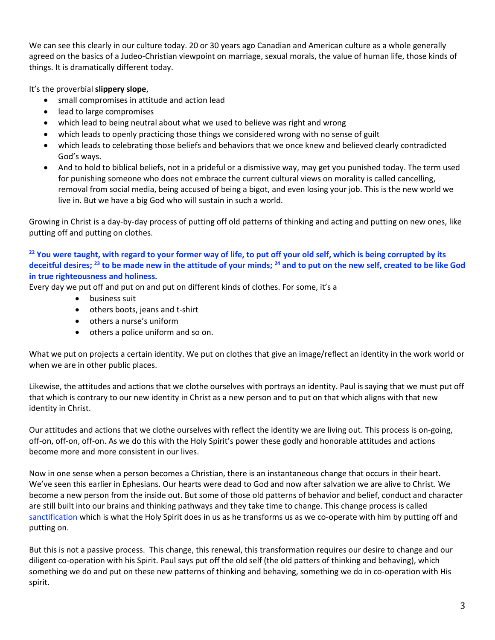We can see this clearly in our culture today. 20 or 30 years ago Canadian and American culture as a whole generally agreed on the basics of a Judeo-Christian viewpoint on marriage, sexual morals, the value of human life, those kinds of things. It is dramatically different today.

It's the proverbial **slippery slope**,

- small compromises in attitude and action lead
- lead to large compromises
- which lead to being neutral about what we used to believe was right and wrong
- which leads to openly practicing those things we considered wrong with no sense of guilt
- which leads to celebrating those beliefs and behaviors that we once knew and believed clearly contradicted God's ways.
- And to hold to biblical beliefs, not in a prideful or a dismissive way, may get you punished today. The term used for punishing someone who does not embrace the current cultural views on morality is called cancelling, removal from social media, being accused of being a bigot, and even losing your job. This is the new world we live in. But we have a big God who will sustain in such a world.

Growing in Christ is a day-by-day process of putting off old patterns of thinking and acting and putting on new ones, like putting off and putting on clothes.

# **<sup>22</sup> You were taught, with regard to your former way of life, to put off your old self, which is being corrupted by its deceitful desires; <sup>23</sup> to be made new in the attitude of your minds; <sup>24</sup> and to put on the new self, created to be like God in true righteousness and holiness.**

Every day we put off and put on and put on different kinds of clothes. For some, it's a

- business suit
- others boots, jeans and t-shirt
- others a nurse's uniform
- others a police uniform and so on.

What we put on projects a certain identity. We put on clothes that give an image/reflect an identity in the work world or when we are in other public places.

Likewise, the attitudes and actions that we clothe ourselves with portrays an identity. Paul is saying that we must put off that which is contrary to our new identity in Christ as a new person and to put on that which aligns with that new identity in Christ.

Our attitudes and actions that we clothe ourselves with reflect the identity we are living out. This process is on-going, off-on, off-on, off-on. As we do this with the Holy Spirit's power these godly and honorable attitudes and actions become more and more consistent in our lives.

Now in one sense when a person becomes a Christian, there is an instantaneous change that occurs in their heart. We've seen this earlier in Ephesians. Our hearts were dead to God and now after salvation we are alive to Christ. We become a new person from the inside out. But some of those old patterns of behavior and belief, conduct and character are still built into our brains and thinking pathways and they take time to change. This change process is called sanctification which is what the Holy Spirit does in us as he transforms us as we co-operate with him by putting off and putting on.

But this is not a passive process. This change, this renewal, this transformation requires our desire to change and our diligent co-operation with his Spirit. Paul says put off the old self (the old patters of thinking and behaving), which something we do and put on these new patterns of thinking and behaving, something we do in co-operation with His spirit.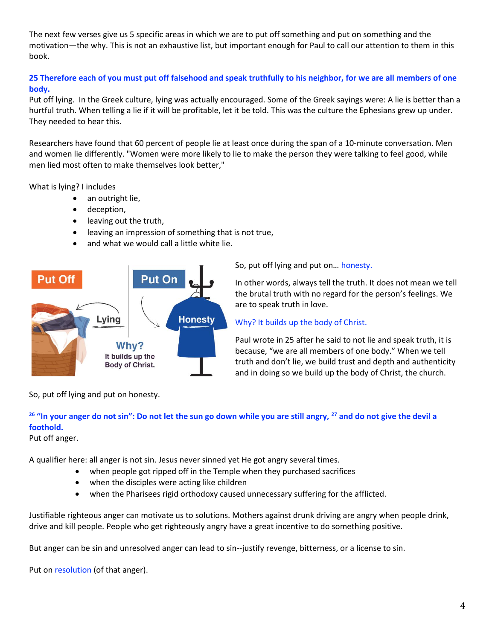The next few verses give us 5 specific areas in which we are to put off something and put on something and the motivation—the why. This is not an exhaustive list, but important enough for Paul to call our attention to them in this book.

# **25 Therefore each of you must put off falsehood and speak truthfully to his neighbor, for we are all members of one body.**

Put off lying. In the Greek culture, lying was actually encouraged. Some of the Greek sayings were: A lie is better than a hurtful truth. When telling a lie if it will be profitable, let it be told. This was the culture the Ephesians grew up under. They needed to hear this.

Researchers have found that 60 percent of people lie at least once during the span of a 10-minute conversation. Men and women lie differently. "Women were more likely to lie to make the person they were talking to feel good, while men lied most often to make themselves look better,"

What is lying? I includes

- an outright lie,
- deception,
- leaving out the truth,
- leaving an impression of something that is not true,
- and what we would call a little white lie.



So, put off lying and put on… honesty.

In other words, always tell the truth. It does not mean we tell the brutal truth with no regard for the person's feelings. We are to speak truth in love.

## Why? It builds up the body of Christ.

Paul wrote in 25 after he said to not lie and speak truth, it is because, "we are all members of one body." When we tell truth and don't lie, we build trust and depth and authenticity and in doing so we build up the body of Christ, the church.

So, put off lying and put on honesty.

# **<sup>26</sup> "In your anger do not sin": Do not let the sun go down while you are still angry, <sup>27</sup> and do not give the devil a foothold.**

Put off anger.

A qualifier here: all anger is not sin. Jesus never sinned yet He got angry several times.

- when people got ripped off in the Temple when they purchased sacrifices
- when the disciples were acting like children
- when the Pharisees rigid orthodoxy caused unnecessary suffering for the afflicted.

Justifiable righteous anger can motivate us to solutions. Mothers against drunk driving are angry when people drink, drive and kill people. People who get righteously angry have a great incentive to do something positive.

But anger can be sin and unresolved anger can lead to sin--justify revenge, bitterness, or a license to sin.

Put on resolution (of that anger).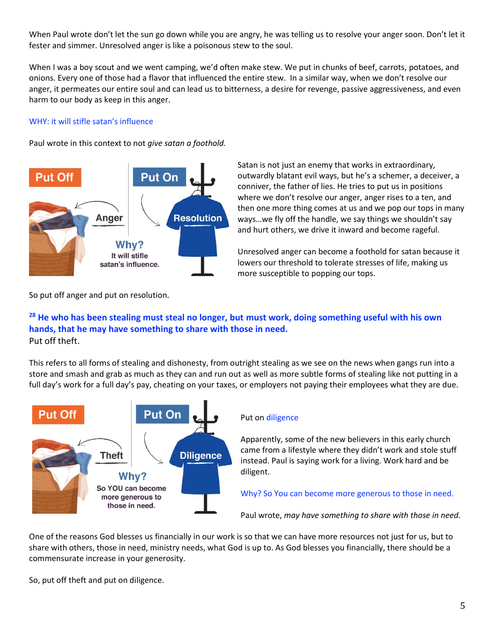When Paul wrote don't let the sun go down while you are angry, he was telling us to resolve your anger soon. Don't let it fester and simmer. Unresolved anger is like a poisonous stew to the soul.

When I was a boy scout and we went camping, we'd often make stew. We put in chunks of beef, carrots, potatoes, and onions. Every one of those had a flavor that influenced the entire stew. In a similar way, when we don't resolve our anger, it permeates our entire soul and can lead us to bitterness, a desire for revenge, passive aggressiveness, and even harm to our body as keep in this anger.

## WHY: it will stifle satan's influence

Paul wrote in this context to not *give satan a foothold.* 



Satan is not just an enemy that works in extraordinary, outwardly blatant evil ways, but he's a schemer, a deceiver, a conniver, the father of lies. He tries to put us in positions where we don't resolve our anger, anger rises to a ten, and then one more thing comes at us and we pop our tops in many ways…we fly off the handle, we say things we shouldn't say and hurt others, we drive it inward and become rageful.

Unresolved anger can become a foothold for satan because it lowers our threshold to tolerate stresses of life, making us more susceptible to popping our tops.

So put off anger and put on resolution.

# **<sup>28</sup> He who has been stealing must steal no longer, but must work, doing something useful with his own hands, that he may have something to share with those in need.** Put off theft.

This refers to all forms of stealing and dishonesty, from outright stealing as we see on the news when gangs run into a store and smash and grab as much as they can and run out as well as more subtle forms of stealing like not putting in a full day's work for a full day's pay, cheating on your taxes, or employers not paying their employees what they are due.



## Put on diligence

Apparently, some of the new believers in this early church came from a lifestyle where they didn't work and stole stuff instead. Paul is saying work for a living. Work hard and be diligent.

Why? So You can become more generous to those in need.

Paul wrote, *may have something to share with those in need.*

One of the reasons God blesses us financially in our work is so that we can have more resources not just for us, but to share with others, those in need, ministry needs, what God is up to. As God blesses you financially, there should be a commensurate increase in your generosity.

So, put off theft and put on diligence.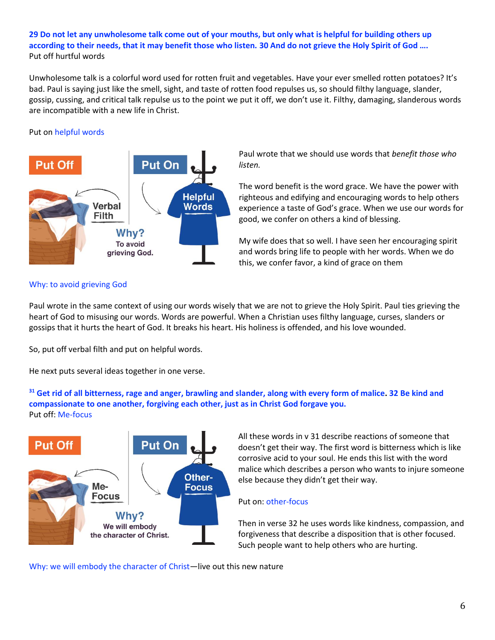## **29 Do not let any unwholesome talk come out of your mouths, but only what is helpful for building others up according to their needs, that it may benefit those who listen. 30 And do not grieve the Holy Spirit of God ….** Put off hurtful words

Unwholesome talk is a colorful word used for rotten fruit and vegetables. Have your ever smelled rotten potatoes? It's bad. Paul is saying just like the smell, sight, and taste of rotten food repulses us, so should filthy language, slander, gossip, cussing, and critical talk repulse us to the point we put it off, we don't use it. Filthy, damaging, slanderous words are incompatible with a new life in Christ.

## Put on helpful words



Paul wrote that we should use words that *benefit those who listen.*

The word benefit is the word grace. We have the power with righteous and edifying and encouraging words to help others experience a taste of God's grace. When we use our words for good, we confer on others a kind of blessing.

My wife does that so well. I have seen her encouraging spirit and words bring life to people with her words. When we do this, we confer favor, a kind of grace on them

## Why: to avoid grieving God

Paul wrote in the same context of using our words wisely that we are not to grieve the Holy Spirit. Paul ties grieving the heart of God to misusing our words. Words are powerful. When a Christian uses filthy language, curses, slanders or gossips that it hurts the heart of God. It breaks his heart. His holiness is offended, and his love wounded.

So, put off verbal filth and put on helpful words.

He next puts several ideas together in one verse.

**<sup>31</sup> Get rid of all bitterness, rage and anger, brawling and slander, along with every form of malice. 32 Be kind and compassionate to one another, forgiving each other, just as in Christ God forgave you.** Put off: Me-focus



All these words in v 31 describe reactions of someone that doesn't get their way. The first word is bitterness which is like corrosive acid to your soul. He ends this list with the word malice which describes a person who wants to injure someone else because they didn't get their way.

#### Put on: other-focus

Then in verse 32 he uses words like kindness, compassion, and forgiveness that describe a disposition that is other focused. Such people want to help others who are hurting.

Why: we will embody the character of Christ—live out this new nature